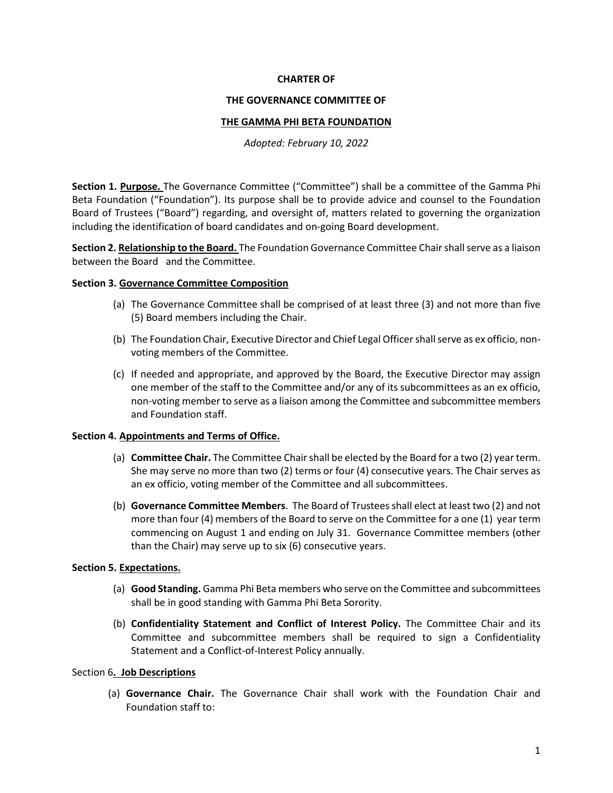## **CHARTER OF**

### **THE GOVERNANCE COMMITTEE OF**

## **THE GAMMA PHI BETA FOUNDATION**

*Adopted: February 10, 2022*

**Section 1. Purpose.** The Governance Committee ("Committee") shall be a committee of the Gamma Phi Beta Foundation ("Foundation"). Its purpose shall be to provide advice and counsel to the Foundation Board of Trustees ("Board") regarding, and oversight of, matters related to governing the organization including the identification of board candidates and on-going Board development.

**Section 2. Relationship to the Board.** The Foundation Governance Committee Chair shall serve as a liaison between the Board and the Committee.

## **Section 3. Governance Committee Composition**

- (a) The Governance Committee shall be comprised of at least three (3) and not more than five (5) Board members including the Chair.
- (b) The Foundation Chair, Executive Director and Chief Legal Officershall serve as ex officio, nonvoting members of the Committee.
- (c) If needed and appropriate, and approved by the Board, the Executive Director may assign one member of the staff to the Committee and/or any of its subcommittees as an ex officio, non-voting member to serve as a liaison among the Committee and subcommittee members and Foundation staff.

# **Section 4. Appointments and Terms of Office.**

- (a) **Committee Chair.** The Committee Chair shall be elected by the Board for a two (2) year term. She may serve no more than two (2) terms or four (4) consecutive years. The Chair serves as an ex officio, voting member of the Committee and all subcommittees.
- (b) **Governance Committee Members**. The Board of Trustees shall elect at least two (2) and not more than four (4) members of the Board to serve on the Committee for a one (1) year term commencing on August 1 and ending on July 31. Governance Committee members (other than the Chair) may serve up to six (6) consecutive years.

# **Section 5. Expectations.**

- (a) **Good Standing.** Gamma Phi Beta members who serve on the Committee and subcommittees shall be in good standing with Gamma Phi Beta Sorority.
- (b) **Confidentiality Statement and Conflict of Interest Policy.** The Committee Chair and its Committee and subcommittee members shall be required to sign a Confidentiality Statement and a Conflict-of-Interest Policy annually.

# Section 6**. Job Descriptions**

(a) **Governance Chair.** The Governance Chair shall work with the Foundation Chair and Foundation staff to: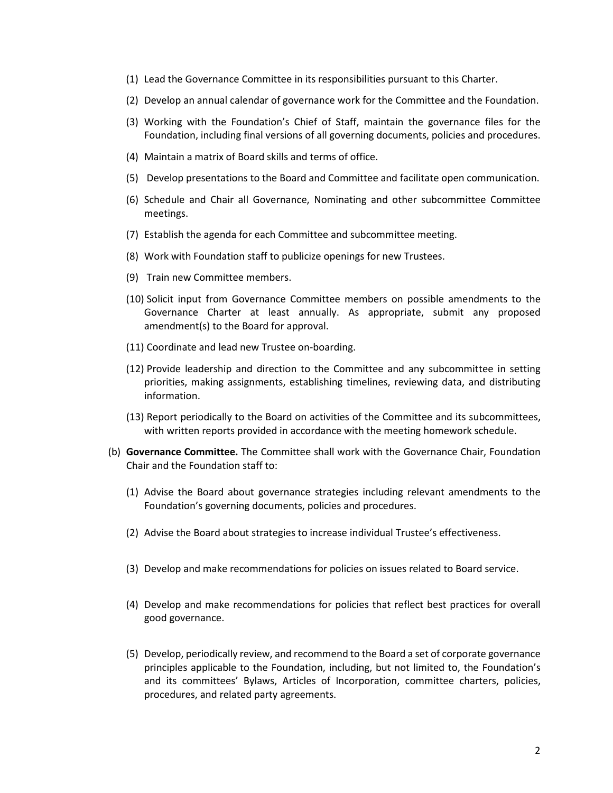- (1) Lead the Governance Committee in its responsibilities pursuant to this Charter.
- (2) Develop an annual calendar of governance work for the Committee and the Foundation.
- (3) Working with the Foundation's Chief of Staff, maintain the governance files for the Foundation, including final versions of all governing documents, policies and procedures.
- (4) Maintain a matrix of Board skills and terms of office.
- (5) Develop presentations to the Board and Committee and facilitate open communication.
- (6) Schedule and Chair all Governance, Nominating and other subcommittee Committee meetings.
- (7) Establish the agenda for each Committee and subcommittee meeting.
- (8) Work with Foundation staff to publicize openings for new Trustees.
- (9) Train new Committee members.
- (10) Solicit input from Governance Committee members on possible amendments to the Governance Charter at least annually. As appropriate, submit any proposed amendment(s) to the Board for approval.
- (11) Coordinate and lead new Trustee on-boarding.
- (12) Provide leadership and direction to the Committee and any subcommittee in setting priorities, making assignments, establishing timelines, reviewing data, and distributing information.
- (13) Report periodically to the Board on activities of the Committee and its subcommittees, with written reports provided in accordance with the meeting homework schedule.
- (b) **Governance Committee.** The Committee shall work with the Governance Chair, Foundation Chair and the Foundation staff to:
	- (1) Advise the Board about governance strategies including relevant amendments to the Foundation's governing documents, policies and procedures.
	- (2) Advise the Board about strategies to increase individual Trustee's effectiveness.
	- (3) Develop and make recommendations for policies on issues related to Board service.
	- (4) Develop and make recommendations for policies that reflect best practices for overall good governance.
	- (5) Develop, periodically review, and recommend to the Board a set of corporate governance principles applicable to the Foundation, including, but not limited to, the Foundation's and its committees' Bylaws, Articles of Incorporation, committee charters, policies, procedures, and related party agreements.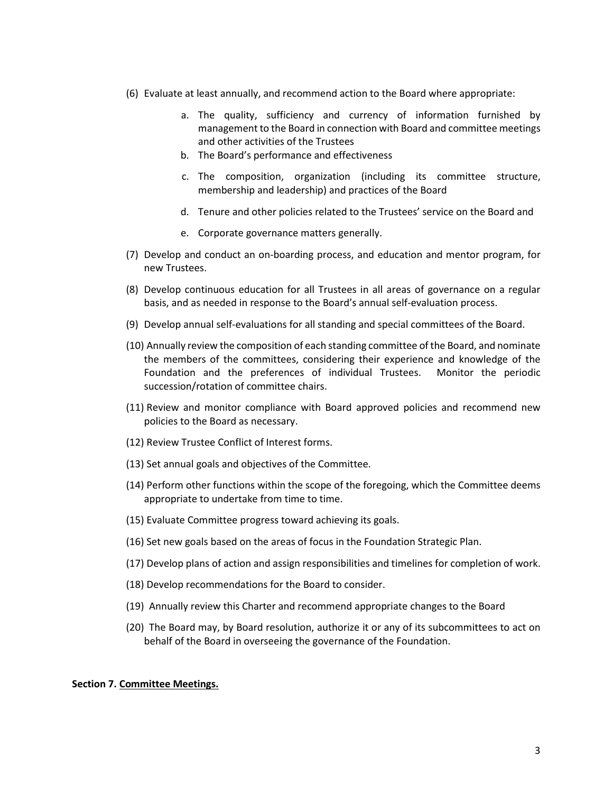- (6) Evaluate at least annually, and recommend action to the Board where appropriate:
	- a. The quality, sufficiency and currency of information furnished by management to the Board in connection with Board and committee meetings and other activities of the Trustees
	- b. The Board's performance and effectiveness
	- c. The composition, organization (including its committee structure, membership and leadership) and practices of the Board
	- d. Tenure and other policies related to the Trustees' service on the Board and
	- e. Corporate governance matters generally.
- (7) Develop and conduct an on-boarding process, and education and mentor program, for new Trustees.
- (8) Develop continuous education for all Trustees in all areas of governance on a regular basis, and as needed in response to the Board's annual self-evaluation process.
- (9) Develop annual self-evaluations for all standing and special committees of the Board.
- (10) Annually review the composition of each standing committee of the Board, and nominate the members of the committees, considering their experience and knowledge of the Foundation and the preferences of individual Trustees. Monitor the periodic succession/rotation of committee chairs.
- (11) Review and monitor compliance with Board approved policies and recommend new policies to the Board as necessary.
- (12) Review Trustee Conflict of Interest forms.
- (13) Set annual goals and objectives of the Committee.
- (14) Perform other functions within the scope of the foregoing, which the Committee deems appropriate to undertake from time to time.
- (15) Evaluate Committee progress toward achieving its goals.
- (16) Set new goals based on the areas of focus in the Foundation Strategic Plan.
- (17) Develop plans of action and assign responsibilities and timelines for completion of work.
- (18) Develop recommendations for the Board to consider.
- (19) Annually review this Charter and recommend appropriate changes to the Board
- (20) The Board may, by Board resolution, authorize it or any of its subcommittees to act on behalf of the Board in overseeing the governance of the Foundation.

### **Section 7. Committee Meetings.**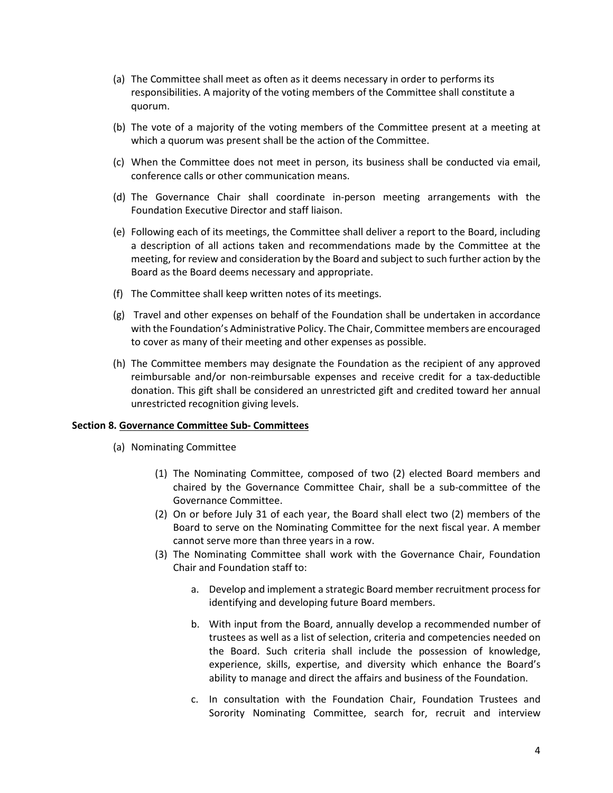- (a) The Committee shall meet as often as it deems necessary in order to performs its responsibilities. A majority of the voting members of the Committee shall constitute a quorum.
- (b) The vote of a majority of the voting members of the Committee present at a meeting at which a quorum was present shall be the action of the Committee.
- (c) When the Committee does not meet in person, its business shall be conducted via email, conference calls or other communication means.
- (d) The Governance Chair shall coordinate in-person meeting arrangements with the Foundation Executive Director and staff liaison.
- (e) Following each of its meetings, the Committee shall deliver a report to the Board, including a description of all actions taken and recommendations made by the Committee at the meeting, for review and consideration by the Board and subject to such further action by the Board as the Board deems necessary and appropriate.
- (f) The Committee shall keep written notes of its meetings.
- (g) Travel and other expenses on behalf of the Foundation shall be undertaken in accordance with the Foundation's Administrative Policy. The Chair, Committee members are encouraged to cover as many of their meeting and other expenses as possible.
- (h) The Committee members may designate the Foundation as the recipient of any approved reimbursable and/or non-reimbursable expenses and receive credit for a tax-deductible donation. This gift shall be considered an unrestricted gift and credited toward her annual unrestricted recognition giving levels.

### **Section 8. Governance Committee Sub- Committees**

- (a) Nominating Committee
	- (1) The Nominating Committee, composed of two (2) elected Board members and chaired by the Governance Committee Chair, shall be a sub-committee of the Governance Committee.
	- (2) On or before July 31 of each year, the Board shall elect two (2) members of the Board to serve on the Nominating Committee for the next fiscal year. A member cannot serve more than three years in a row.
	- (3) The Nominating Committee shall work with the Governance Chair, Foundation Chair and Foundation staff to:
		- a. Develop and implement a strategic Board member recruitment process for identifying and developing future Board members.
		- b. With input from the Board, annually develop a recommended number of trustees as well as a list of selection, criteria and competencies needed on the Board. Such criteria shall include the possession of knowledge, experience, skills, expertise, and diversity which enhance the Board's ability to manage and direct the affairs and business of the Foundation.
		- c. In consultation with the Foundation Chair, Foundation Trustees and Sorority Nominating Committee, search for, recruit and interview